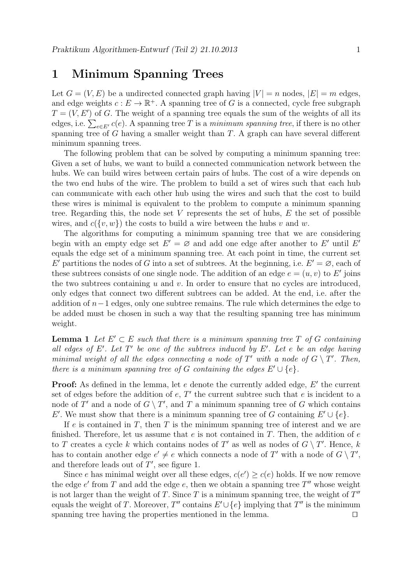## 1 Minimum Spanning Trees

Let  $G = (V, E)$  be a undirected connected graph having  $|V| = n$  nodes,  $|E| = m$  edges, and edge weights  $c: E \to \mathbb{R}^+$ . A spanning tree of G is a connected, cycle free subgraph  $T = (V, E')$  of G. The weight of a spanning tree equals the sum of the weights of all its edges, i.e.  $\sum_{e \in E'} c(e)$ . A spanning tree T is a minimum spanning tree, if there is no other spanning tree of G having a smaller weight than T. A graph can have several different minimum spanning trees.

The following problem that can be solved by computing a minimum spanning tree: Given a set of hubs, we want to build a connected communication network between the hubs. We can build wires between certain pairs of hubs. The cost of a wire depends on the two end hubs of the wire. The problem to build a set of wires such that each hub can communicate with each other hub using the wires and such that the cost to build these wires is minimal is equivalent to the problem to compute a minimum spanning tree. Regarding this, the node set  $V$  represents the set of hubs,  $E$  the set of possible wires, and  $c({v, w})$  the costs to build a wire between the hubs v and w.

The algorithms for computing a minimum spanning tree that we are considering begin with an empty edge set  $E' = \emptyset$  and add one edge after another to E' until E' equals the edge set of a minimum spanning tree. At each point in time, the current set E' partitions the nodes of G into a set of subtrees. At the beginning, i.e.  $E' = \emptyset$ , each of these subtrees consists of one single node. The addition of an edge  $e = (u, v)$  to E' joins the two subtrees containing  $u$  and  $v$ . In order to ensure that no cycles are introduced, only edges that connect two different subtrees can be added. At the end, i.e. after the addition of  $n-1$  edges, only one subtree remains. The rule which determines the edge to be added must be chosen in such a way that the resulting spanning tree has minimum weight.

**Lemma 1** Let  $E' \subset E$  such that there is a minimum spanning tree T of G containing all edges of  $E'$ . Let  $T'$  be one of the subtrees induced by  $E'$ . Let e be an edge having minimal weight of all the edges connecting a node of  $T'$  with a node of  $G \setminus T'$ . Then, there is a minimum spanning tree of G containing the edges  $E' \cup \{e\}.$ 

**Proof:** As defined in the lemma, let  $e$  denote the currently added edge,  $E'$  the current set of edges before the addition of  $e, T'$  the current subtree such that  $e$  is incident to a node of T' and a node of  $G \setminus T'$ , and T a minimum spanning tree of G which contains E'. We must show that there is a minimum spanning tree of G containing  $E' \cup \{e\}$ .

If e is contained in  $T$ , then  $T$  is the minimum spanning tree of interest and we are finished. Therefore, let us assume that  $e$  is not contained in T. Then, the addition of  $e$ to T creates a cycle k which contains nodes of T' as well as nodes of  $G \setminus T'$ . Hence, k has to contain another edge  $e' \neq e$  which connects a node of T' with a node of  $G \setminus T'$ , and therefore leads out of  $T'$ , see figure 1.

Since e has minimal weight over all these edges,  $c(e') \geq c(e)$  holds. If we now remove the edge  $e'$  from T and add the edge  $e$ , then we obtain a spanning tree  $T''$  whose weight is not larger than the weight of T. Since T is a minimum spanning tree, the weight of  $T''$ equals the weight of T. Moreover, T'' contains  $E' \cup \{e\}$  implying that T'' is the minimum spanning tree having the properties mentioned in the lemma.  $\Box$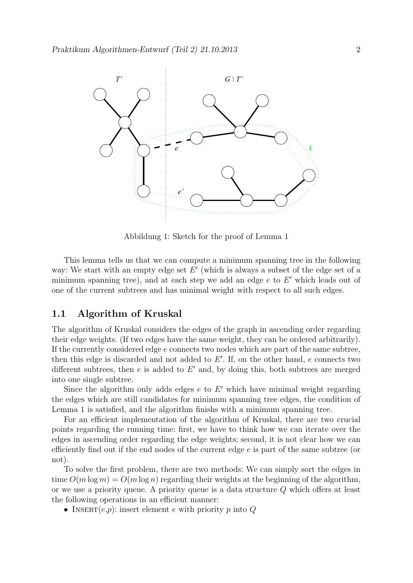

Abbildung 1: Sketch for the proof of Lemma 1

This lemma tells us that we can compute a minimum spanning tree in the following way: We start with an empty edge set  $E'$  (which is always a subset of the edge set of a minimum spanning tree), and at each step we add an edge  $e$  to  $E'$  which leads out of one of the current subtrees and has minimal weight with respect to all such edges.

## 1.1 Algorithm of Kruskal

The algorithm of Kruskal considers the edges of the graph in ascending order regarding their edge weights. (If two edges have the same weight, they can be ordered arbitrarily). If the currently considered edge  $e$  connects two nodes which are part of the same subtree, then this edge is discarded and not added to  $E'$ . If, on the other hand,  $e$  connects two different subtrees, then  $e$  is added to  $E'$  and, by doing this, both subtrees are merged into one single subtree.

Since the algorithm only adds edges  $e$  to  $E'$  which have minimal weight regarding the edges which are still candidates for minimum spanning tree edges, the condition of Lemma 1 is satisfied, and the algorithm finishs with a minimum spanning tree.

For an efficient implementation of the algorithm of Kruskal, there are two crucial points regarding the running time: first, we have to think how we can iterate over the edges in ascending order regarding the edge weights; second, it is not clear how we can efficiently find out if the end nodes of the current edge  $e$  is part of the same subtree (or not).

To solve the first problem, there are two methods: We can simply sort the edges in time  $O(m \log m) = O(m \log n)$  regarding their weights at the beginning of the algorithm, or we use a priority queue. A priority queue is a data structure Q which offers at least the following operations in an efficient manner:

• INSERT $(e, p)$ : insert element e with priority p into Q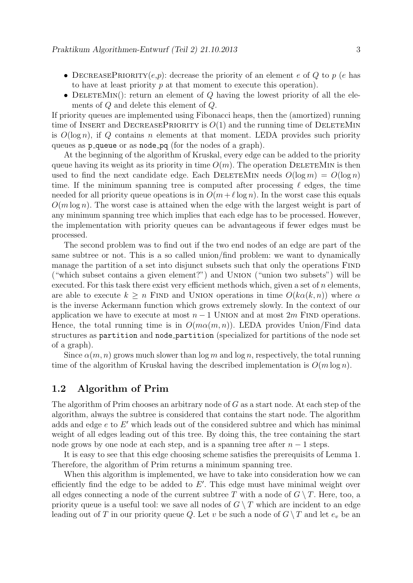- DECREASEPRIORITY $(e, p)$ : decrease the priority of an element e of Q to p (e has to have at least priority p at that moment to execute this operation).
- DELETEMIN(): return an element of  $Q$  having the lowest priority of all the elements of Q and delete this element of Q.

If priority queues are implemented using Fibonacci heaps, then the (amortized) running time of INSERT and DECREASEPRIORITY is  $O(1)$  and the running time of DELETEMIN is  $O(\log n)$ , if Q contains n elements at that moment. LEDA provides such priority queues as **p\_queue** or as **node\_pq** (for the nodes of a graph).

At the beginning of the algorithm of Kruskal, every edge can be added to the priority queue having its weight as its priority in time  $O(m)$ . The operation DELETEMIN is then used to find the next candidate edge. Each DELETEMIN needs  $O(\log m) = O(\log n)$ time. If the minimum spanning tree is computed after processing  $\ell$  edges, the time needed for all priority queue opeations is in  $O(m + \ell \log n)$ . In the worst case this equals  $O(m \log n)$ . The worst case is attained when the edge with the largest weight is part of any minimum spanning tree which implies that each edge has to be processed. However, the implementation with priority queues can be advantageous if fewer edges must be processed.

The second problem was to find out if the two end nodes of an edge are part of the same subtree or not. This is a so called union/find problem: we want to dynamically manage the partition of a set into disjunct subsets such that only the operations FIND ("which subset contains a given element?") and Union ("union two subsets") will be executed. For this task there exist very efficient methods which, given a set of  $n$  elements, are able to execute  $k \geq n$  FIND and UNION operations in time  $O(k\alpha(k,n))$  where  $\alpha$ is the inverse Ackermann function which grows extremely slowly. In the context of our application we have to execute at most  $n - 1$  UNION and at most  $2m$  FIND operations. Hence, the total running time is in  $O(m\alpha(m,n))$ . LEDA provides Union/Find data structures as partition and node partition (specialized for partitions of the node set of a graph).

Since  $\alpha(m, n)$  grows much slower than  $\log m$  and  $\log n$ , respectively, the total running time of the algorithm of Kruskal having the described implementation is  $O(m \log n)$ .

## 1.2 Algorithm of Prim

The algorithm of Prim chooses an arbitrary node of G as a start node. At each step of the algorithm, always the subtree is considered that contains the start node. The algorithm adds and edge  $e$  to  $E'$  which leads out of the considered subtree and which has minimal weight of all edges leading out of this tree. By doing this, the tree containing the start node grows by one node at each step, and is a spanning tree after  $n-1$  steps.

It is easy to see that this edge choosing scheme satisfies the prerequisits of Lemma 1. Therefore, the algorithm of Prim returns a minimum spanning tree.

When this algorithm is implemented, we have to take into consideration how we can efficiently find the edge to be added to  $E'$ . This edge must have minimal weight over all edges connecting a node of the current subtree T with a node of  $G \setminus T$ . Here, too, a priority queue is a useful tool: we save all nodes of  $G \setminus T$  which are incident to an edge leading out of T in our priority queue Q. Let v be such a node of  $G \setminus T$  and let  $e_v$  be an